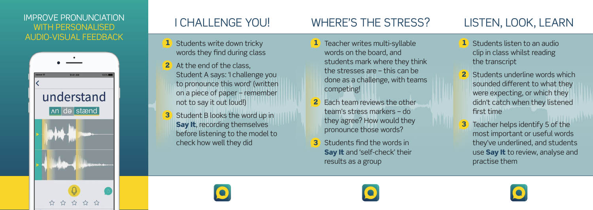#### IMPROVE PRONUNCIATION WITH PERSONALISED AUDIO-VISUAL FEEDBACK



# I CHALLENGE YOU!

- 1 Students write down tricky words they find during class
- 2 At the end of the class. Student A says: 'I challenge you to pronounce this word' (written on a piece of paper – remember not to say it out loud!)
- 3 Student B looks the word up in Say It, recording themselves before listening to the model to check how well they did

### WHERE'S THE STRESS?

- 1 Teacher writes multi-syllable words on the board, and students mark where they think the stresses are – this can be done as a challenge, with teams competing!
- **Each team reviews the other** team's stress markers – do they agree? How would they pronounce those words?
- 3 Students find the words in Say It and 'self-check' their results as a group

### LISTEN, LOOK, LEARN

- 1 Students listen to an audio clip in class whilst reading the transcript
- 2 Students underline words which sounded different to what they were expecting, or which they didn't catch when they listened first time
- **3** Teacher helps identify 5 of the most important or useful words they've underlined, and students use **Say It** to review, analyse and practise them